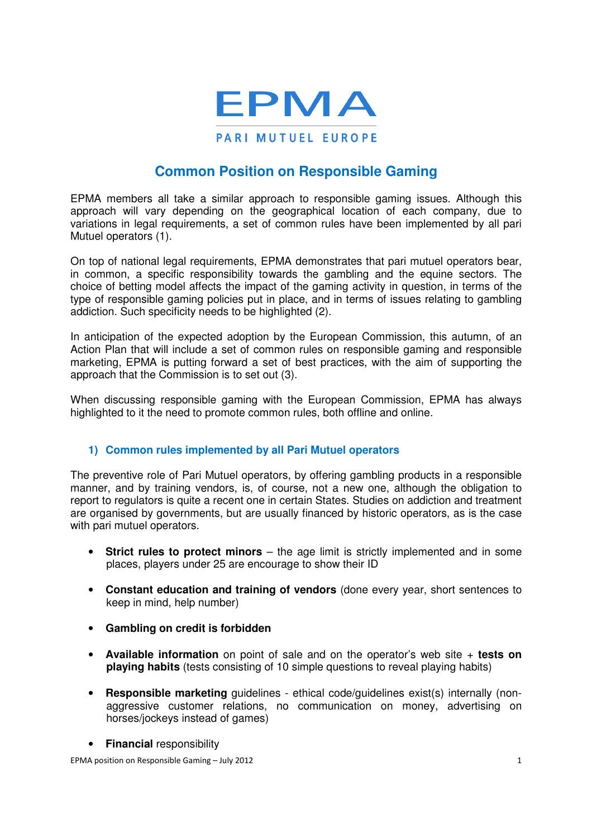

# **Common Position on Responsible Gaming**

EPMA members all take a similar approach to responsible gaming issues. Although this approach will vary depending on the geographical location of each company, due to variations in legal requirements, a set of common rules have been implemented by all pari Mutuel operators (1).

On top of national legal requirements, EPMA demonstrates that pari mutuel operators bear, in common, a specific responsibility towards the gambling and the equine sectors. The choice of betting model affects the impact of the gaming activity in question, in terms of the type of responsible gaming policies put in place, and in terms of issues relating to gambling addiction. Such specificity needs to be highlighted (2).

In anticipation of the expected adoption by the European Commission, this autumn, of an Action Plan that will include a set of common rules on responsible gaming and responsible marketing, EPMA is putting forward a set of best practices, with the aim of supporting the approach that the Commission is to set out (3).

When discussing responsible gaming with the European Commission, EPMA has always highlighted to it the need to promote common rules, both offline and online.

# **1) Common rules implemented by all Pari Mutuel operators**

The preventive role of Pari Mutuel operators, by offering gambling products in a responsible manner, and by training vendors, is, of course, not a new one, although the obligation to report to regulators is quite a recent one in certain States. Studies on addiction and treatment are organised by governments, but are usually financed by historic operators, as is the case with pari mutuel operators.

- **Strict rules to protect minors** the age limit is strictly implemented and in some places, players under 25 are encourage to show their ID
- **Constant education and training of vendors** (done every year, short sentences to keep in mind, help number)
- **Gambling on credit is forbidden**
- **Available information** on point of sale and on the operator's web site + **tests on playing habits** (tests consisting of 10 simple questions to reveal playing habits)
- **Responsible marketing** guidelines ethical code/guidelines exist(s) internally (nonaggressive customer relations, no communication on money, advertising on horses/jockeys instead of games)
- **Financial** responsibility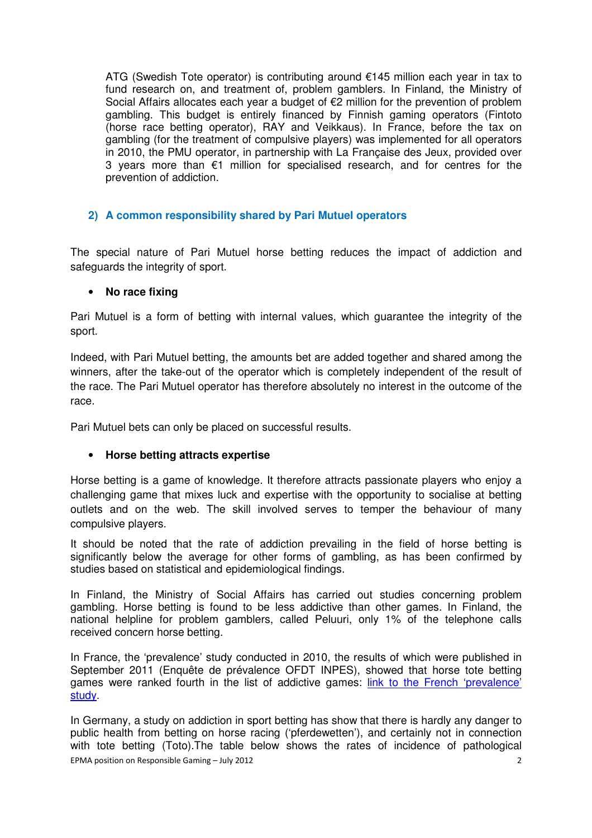ATG (Swedish Tote operator) is contributing around €145 million each year in tax to fund research on, and treatment of, problem gamblers. In Finland, the Ministry of Social Affairs allocates each year a budget of €2 million for the prevention of problem gambling. This budget is entirely financed by Finnish gaming operators (Fintoto (horse race betting operator), RAY and Veikkaus). In France, before the tax on gambling (for the treatment of compulsive players) was implemented for all operators in 2010, the PMU operator, in partnership with La Française des Jeux, provided over 3 years more than €1 million for specialised research, and for centres for the prevention of addiction.

### **2) A common responsibility shared by Pari Mutuel operators**

The special nature of Pari Mutuel horse betting reduces the impact of addiction and safeguards the integrity of sport.

### • **No race fixing**

Pari Mutuel is a form of betting with internal values, which guarantee the integrity of the sport.

Indeed, with Pari Mutuel betting, the amounts bet are added together and shared among the winners, after the take-out of the operator which is completely independent of the result of the race. The Pari Mutuel operator has therefore absolutely no interest in the outcome of the race.

Pari Mutuel bets can only be placed on successful results.

### • **Horse betting attracts expertise**

Horse betting is a game of knowledge. It therefore attracts passionate players who enjoy a challenging game that mixes luck and expertise with the opportunity to socialise at betting outlets and on the web. The skill involved serves to temper the behaviour of many compulsive players.

It should be noted that the rate of addiction prevailing in the field of horse betting is significantly below the average for other forms of gambling, as has been confirmed by studies based on statistical and epidemiological findings.

In Finland, the Ministry of Social Affairs has carried out studies concerning problem gambling. Horse betting is found to be less addictive than other games. In Finland, the national helpline for problem gamblers, called Peluuri, only 1% of the telephone calls received concern horse betting.

In France, the 'prevalence' study conducted in 2010, the results of which were published in September 2011 (Enquête de prévalence OFDT INPES), showed that horse tote betting games were ranked fourth in the list of addictive games: link to the French 'prevalence' study.

EPMA position on Responsible Gaming – July 2012 2 In Germany, a study on addiction in sport betting has show that there is hardly any danger to public health from betting on horse racing ('pferdewetten'), and certainly not in connection with tote betting (Toto). The table below shows the rates of incidence of pathological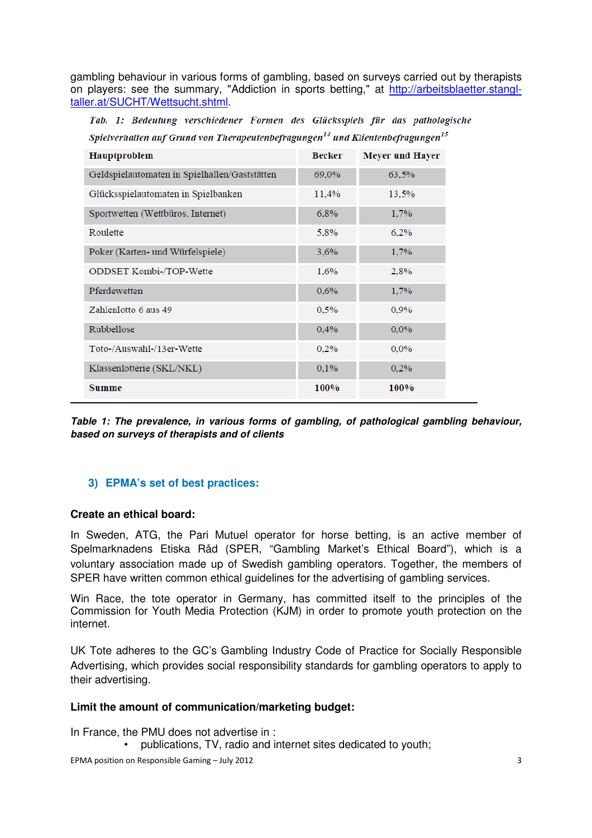gambling behaviour in various forms of gambling, based on surveys carried out by therapists on players: see the summary, "Addiction in sports betting," at http://arbeitsblaetter.stangltaller.at/SUCHT/Wettsucht.shtml.

Tab. 1: Bedeutung verschiedener Formen des Glücksspiels für das pathologische

| Spielverhalten auf Grund von Therapeutenbefragungen <sup>14</sup> und Klientenbefragungen <sup>15</sup> |        |                        |  |
|---------------------------------------------------------------------------------------------------------|--------|------------------------|--|
| Hauptproblem                                                                                            | Becker | <b>Mever und Haver</b> |  |

| Geldspielautomaten in Spielhallen/Gaststätten | 69,0% | 63,5%   |
|-----------------------------------------------|-------|---------|
| Glücksspielautomaten in Spielbanken           | 11,4% | 13,5%   |
| Sportwetten (Wettbüros, Internet)             | 6,8%  | 1,7%    |
| Roulette                                      | 5,8%  | 6.2%    |
| Poker (Karten- und Würfelspiele)              | 3,6%  | 1,7%    |
| ODDSET Kombi-/TOP-Wette                       | 1,6%  | 2,8%    |
| Pferdewetten                                  | 0,6%  | 1,7%    |
| Zahlenlotto 6 aus 49                          | 0.5%  | 0.9%    |
| Rubbellose                                    | 0,4%  | $0.0\%$ |
| Toto-/Auswahl-/13er-Wette                     | 0,2%  | $0.0\%$ |
| Klassenlotterie (SKL/NKL)                     | 0.1%  | 0.2%    |
| <b>Summe</b>                                  | 100%  | 100%    |

**Table 1: The prevalence, in various forms of gambling, of pathological gambling behaviour, based on surveys of therapists and of clients** 

# **3) EPMA's set of best practices:**

# **Create an ethical board:**

In Sweden, ATG, the Pari Mutuel operator for horse betting, is an active member of Spelmarknadens Etiska Råd (SPER, "Gambling Market's Ethical Board"), which is a voluntary association made up of Swedish gambling operators. Together, the members of SPER have written common ethical guidelines for the advertising of gambling services.

Win Race, the tote operator in Germany, has committed itself to the principles of the Commission for Youth Media Protection (KJM) in order to promote youth protection on the internet.

UK Tote adheres to the GC's Gambling Industry Code of Practice for Socially Responsible Advertising, which provides social responsibility standards for gambling operators to apply to their advertising.

# **Limit the amount of communication/marketing budget:**

In France, the PMU does not advertise in :

• publications, TV, radio and internet sites dedicated to youth;